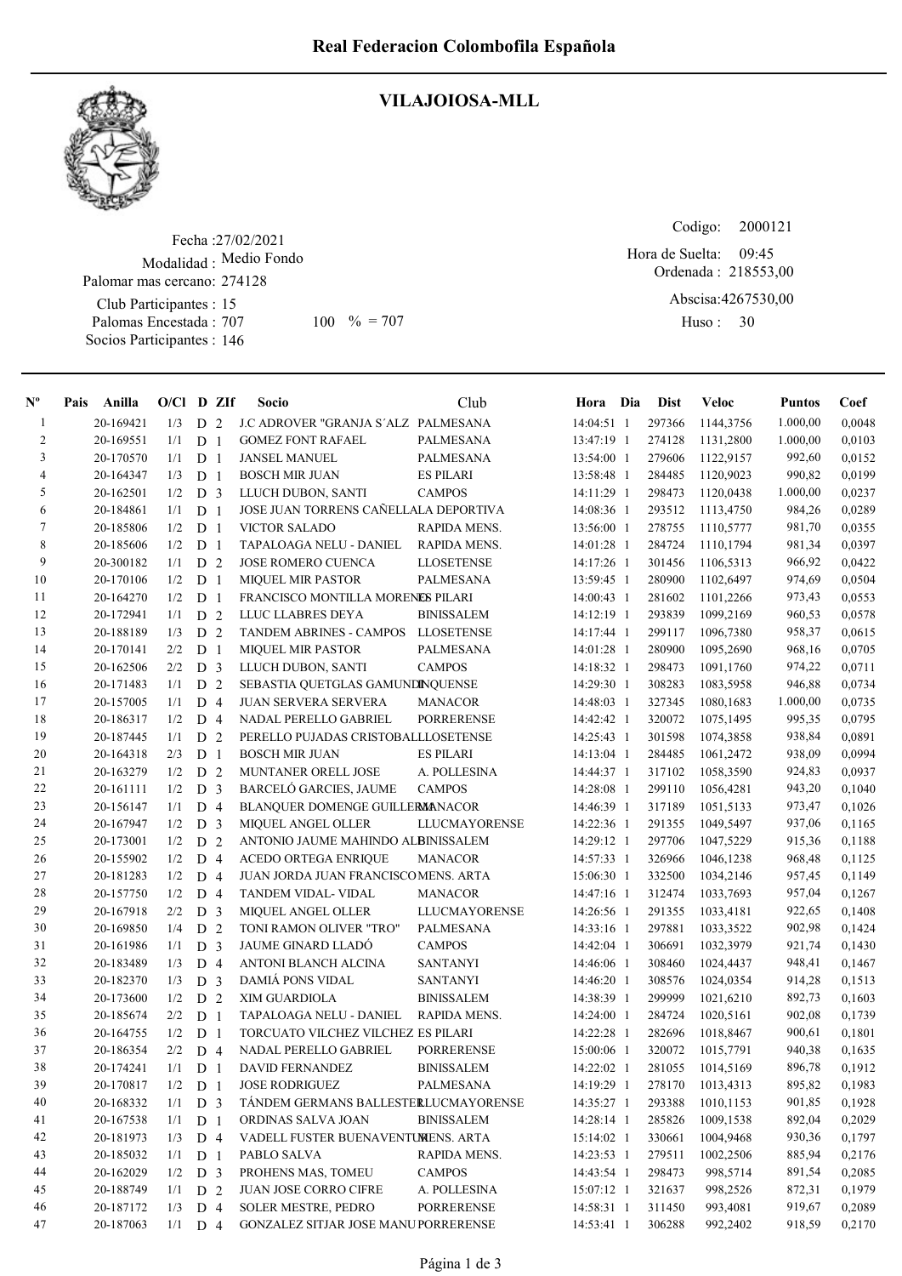

## VILAJOIOSA-MLL

Fecha : 27/02/2021 Modalidad : Medio Fondo Club Participantes : 15 Palomas Encestada : Socios Participantes : 146 Palomar mas cercano: 274128 707 100 % = 707 Huso: 30

Ordenada : 218553,00 Abscisa: 4267530,00 Huso: 30 Hora de Suelta: 09:45

Codigo: 2000121

| $\mathbf{N}^{\mathbf{o}}$ | Pais | Anilla    | $O/Cl$ D ZIf |                |                | Socio                                 | Club                 | Hora Dia     | <b>Dist</b> | Veloc     | <b>Puntos</b> | Coef   |
|---------------------------|------|-----------|--------------|----------------|----------------|---------------------------------------|----------------------|--------------|-------------|-----------|---------------|--------|
| -1                        |      | 20-169421 | 1/3          | D              | 2              | J.C ADROVER "GRANJA S'ALZ PALMESANA   |                      | 14:04:51 1   | 297366      | 1144,3756 | 1.000,00      | 0,0048 |
| $\overline{c}$            |      | 20-169551 | 1/1          | D              | -1             | <b>GOMEZ FONT RAFAEL</b>              | PALMESANA            | 13:47:19 1   | 274128      | 1131,2800 | 1.000,00      | 0,0103 |
| 3                         |      | 20-170570 | 1/1          | D              | -1             | <b>JANSEL MANUEL</b>                  | PALMESANA            | 13:54:00 1   | 279606      | 1122,9157 | 992,60        | 0,0152 |
| $\overline{\mathcal{A}}$  |      | 20-164347 | 1/3          | D              | -1             | <b>BOSCH MIR JUAN</b>                 | <b>ES PILARI</b>     | 13:58:48 1   | 284485      | 1120,9023 | 990,82        | 0,0199 |
| 5                         |      | 20-162501 | 1/2          | D <sub>3</sub> |                | LLUCH DUBON, SANTI                    | <b>CAMPOS</b>        | 14:11:29 1   | 298473      | 1120,0438 | 1.000,00      | 0,0237 |
| 6                         |      | 20-184861 | 1/1          | D              | $\mathbf{1}$   | JOSE JUAN TORRENS CAÑELLALA DEPORTIVA |                      | 14:08:36 1   | 293512      | 1113,4750 | 984,26        | 0,0289 |
| 7                         |      | 20-185806 | 1/2          | D              | -1             | <b>VICTOR SALADO</b>                  | RAPIDA MENS.         | 13:56:00 1   | 278755      | 1110,5777 | 981,70        | 0,0355 |
| 8                         |      | 20-185606 | 1/2          | D              | -1             | TAPALOAGA NELU - DANIEL               | RAPIDA MENS.         | 14:01:28 1   | 284724      | 1110,1794 | 981,34        | 0,0397 |
| 9                         |      | 20-300182 | 1/1          | D              | 2              | JOSE ROMERO CUENCA                    | <b>LLOSETENSE</b>    | 14:17:26 1   | 301456      | 1106,5313 | 966,92        | 0,0422 |
| 10                        |      | 20-170106 | 1/2          | D              | -1             | <b>MIQUEL MIR PASTOR</b>              | PALMESANA            | 13:59:45 1   | 280900      | 1102,6497 | 974,69        | 0,0504 |
| 11                        |      | 20-164270 | 1/2          | D              | $\mathbf{1}$   | FRANCISCO MONTILLA MORENES PILARI     |                      | 14:00:43 1   | 281602      | 1101,2266 | 973,43        | 0,0553 |
| 12                        |      | 20-172941 | 1/1          | D              | 2              | LLUC LLABRES DEYA                     | <b>BINISSALEM</b>    | 14:12:19 1   | 293839      | 1099,2169 | 960,53        | 0,0578 |
| 13                        |      | 20-188189 | 1/3          | D              | 2              | <b>TANDEM ABRINES - CAMPOS</b>        | <b>LLOSETENSE</b>    | 14:17:44 1   | 299117      | 1096,7380 | 958,37        | 0,0615 |
| 14                        |      | 20-170141 | 2/2          | D              | -1             | <b>MIQUEL MIR PASTOR</b>              | PALMESANA            | 14:01:28 1   | 280900      | 1095,2690 | 968,16        | 0,0705 |
| 15                        |      | 20-162506 | 2/2          | D              | 3              | LLUCH DUBON, SANTI                    | <b>CAMPOS</b>        | 14:18:32 1   | 298473      | 1091,1760 | 974,22        | 0,0711 |
| 16                        |      | 20-171483 | 1/1          | $\mathbf D$    | $\overline{2}$ | SEBASTIA QUETGLAS GAMUNDINQUENSE      |                      | 14:29:30 1   | 308283      | 1083,5958 | 946,88        | 0,0734 |
| 17                        |      | 20-157005 | 1/1          | D <sub>4</sub> |                | JUAN SERVERA SERVERA                  | <b>MANACOR</b>       | 14:48:03 1   | 327345      | 1080,1683 | 1.000,00      | 0,0735 |
| 18                        |      | 20-186317 | 1/2          | D              | $\overline{4}$ | NADAL PERELLO GABRIEL                 | <b>PORRERENSE</b>    | 14:42:42 1   | 320072      | 1075,1495 | 995,35        | 0,0795 |
| 19                        |      | 20-187445 | 1/1          | D              | 2              | PERELLO PUJADAS CRISTOBALLLOSETENSE   |                      | 14:25:43 1   | 301598      | 1074,3858 | 938,84        | 0,0891 |
| 20                        |      | 20-164318 | 2/3          | D              | $\mathbf{1}$   | <b>BOSCH MIR JUAN</b>                 | <b>ES PILARI</b>     | 14:13:04 1   | 284485      | 1061,2472 | 938,09        | 0,0994 |
| 21                        |      | 20-163279 | 1/2          | D              | $\overline{2}$ | MUNTANER ORELL JOSE                   | A. POLLESINA         | 14:44:37 1   | 317102      | 1058,3590 | 924,83        | 0,0937 |
| $22\,$                    |      | 20-161111 | 1/2          | D <sub>3</sub> |                | <b>BARCELÓ GARCIES, JAUME</b>         | <b>CAMPOS</b>        | 14:28:08 1   | 299110      | 1056,4281 | 943,20        | 0,1040 |
| 23                        |      | 20-156147 | 1/1          | D 4            |                | BLANQUER DOMENGE GUILLERMANACOR       |                      | 14:46:39 1   | 317189      | 1051,5133 | 973,47        | 0,1026 |
| 24                        |      | 20-167947 | 1/2          | D <sub>3</sub> |                | MIQUEL ANGEL OLLER                    | <b>LLUCMAYORENSE</b> | 14:22:36 1   | 291355      | 1049,5497 | 937,06        | 0,1165 |
| 25                        |      | 20-173001 | 1/2          | D              | 2              | ANTONIO JAUME MAHINDO ALBINISSALEM    |                      | 14:29:12 1   | 297706      | 1047,5229 | 915,36        | 0,1188 |
| $26\,$                    |      | 20-155902 | 1/2          | D <sub>4</sub> |                | <b>ACEDO ORTEGA ENRIQUE</b>           | <b>MANACOR</b>       | 14:57:33 1   | 326966      | 1046,1238 | 968,48        | 0,1125 |
| 27                        |      | 20-181283 | 1/2          | D              | $\overline{4}$ | JUAN JORDA JUAN FRANCISCOMENS. ARTA   |                      | 15:06:30 1   | 332500      | 1034,2146 | 957,45        | 0,1149 |
| $28\,$                    |      | 20-157750 | 1/2          | D <sub>4</sub> |                | TANDEM VIDAL- VIDAL                   | <b>MANACOR</b>       | $14:47:16$ 1 | 312474      | 1033,7693 | 957,04        | 0,1267 |
| 29                        |      | 20-167918 | 2/2          | D              | 3              | <b>MIQUEL ANGEL OLLER</b>             | LLUCMAYORENSE        | 14:26:56 1   | 291355      | 1033,4181 | 922,65        | 0,1408 |
| 30                        |      | 20-169850 | 1/4          | D              | 2              | TONI RAMON OLIVER "TRO"               | PALMESANA            | 14:33:16 1   | 297881      | 1033,3522 | 902,98        | 0,1424 |
| 31                        |      | 20-161986 | 1/1          | D              | 3              | JAUME GINARD LLADO                    | <b>CAMPOS</b>        | $14:42:04$ 1 | 306691      | 1032,3979 | 921,74        | 0,1430 |
| 32                        |      | 20-183489 | 1/3          | D              | $\overline{4}$ | ANTONI BLANCH ALCINA                  | <b>SANTANYI</b>      | 14:46:06 1   | 308460      | 1024,4437 | 948,41        | 0,1467 |
| 33                        |      | 20-182370 | 1/3          | D              | 3              | DAMIÁ PONS VIDAL                      | <b>SANTANYI</b>      | 14:46:20 1   | 308576      | 1024,0354 | 914,28        | 0,1513 |
| 34                        |      | 20-173600 | 1/2          | D 2            |                | XIM GUARDIOLA                         | <b>BINISSALEM</b>    | 14:38:39 1   | 299999      | 1021,6210 | 892,73        | 0,1603 |
| 35                        |      | 20-185674 | 2/2          | D <sub>1</sub> |                | TAPALOAGA NELU - DANIEL               | RAPIDA MENS.         | 14:24:00 1   | 284724      | 1020,5161 | 902,08        | 0,1739 |
| 36                        |      | 20-164755 | 1/2          | D              | $\overline{1}$ | TORCUATO VILCHEZ VILCHEZ ES PILARI    |                      | 14:22:28 1   | 282696      | 1018,8467 | 900,61        | 0,1801 |
| 37                        |      | 20-186354 | 2/2          | D <sub>4</sub> |                | NADAL PERELLO GABRIEL                 | <b>PORRERENSE</b>    | 15:00:06 1   | 320072      | 1015,7791 | 940,38        | 0,1635 |
| 38                        |      | 20-174241 | 1/1          | D <sub>1</sub> |                | DAVID FERNANDEZ                       | <b>BINISSALEM</b>    | 14:22:02 1   | 281055      | 1014,5169 | 896,78        | 0,1912 |
| 39                        |      | 20-170817 | 1/2          | D <sub>1</sub> |                | <b>JOSE RODRIGUEZ</b>                 | PALMESANA            | 14:19:29 1   | 278170      | 1013,4313 | 895,82        | 0,1983 |
| 40                        |      | 20-168332 | 1/1          | D <sub>3</sub> |                | TÁNDEM GERMANS BALLESTERLUCMAYORENSE  |                      | 14:35:27 1   | 293388      | 1010,1153 | 901,85        | 0,1928 |
| 41                        |      | 20-167538 | 1/1          | D <sub>1</sub> |                | ORDINAS SALVA JOAN                    | <b>BINISSALEM</b>    | 14:28:14 1   | 285826      | 1009,1538 | 892,04        | 0,2029 |
| 42                        |      | 20-181973 | 1/3          | $D_4$          |                | VADELL FUSTER BUENAVENTUMENS. ARTA    |                      | 15:14:02 1   | 330661      | 1004,9468 | 930,36        | 0,1797 |
| 43                        |      | 20-185032 | 1/1          | D              | $\overline{1}$ | PABLO SALVA                           | RAPIDA MENS.         | $14:23:53$ 1 | 279511      | 1002,2506 | 885,94        | 0,2176 |
| 44                        |      | 20-162029 | 1/2          | D <sub>3</sub> |                | PROHENS MAS, TOMEU                    | <b>CAMPOS</b>        | 14:43:54 1   | 298473      | 998,5714  | 891,54        | 0,2085 |
| 45                        |      | 20-188749 | 1/1          | D              | 2              | JUAN JOSE CORRO CIFRE                 | A. POLLESINA         | 15:07:12 1   | 321637      | 998,2526  | 872,31        | 0,1979 |
| 46                        |      | 20-187172 | 1/3          | D 4            |                | <b>SOLER MESTRE, PEDRO</b>            | <b>PORRERENSE</b>    | 14:58:31 1   | 311450      | 993,4081  | 919,67        | 0,2089 |
| 47                        |      | 20-187063 | $1/1$ D 4    |                |                | GONZALEZ SITJAR JOSE MANUPORRERENSE   |                      | 14:53:41 1   | 306288      | 992,2402  | 918,59        | 0,2170 |
|                           |      |           |              |                |                |                                       |                      |              |             |           |               |        |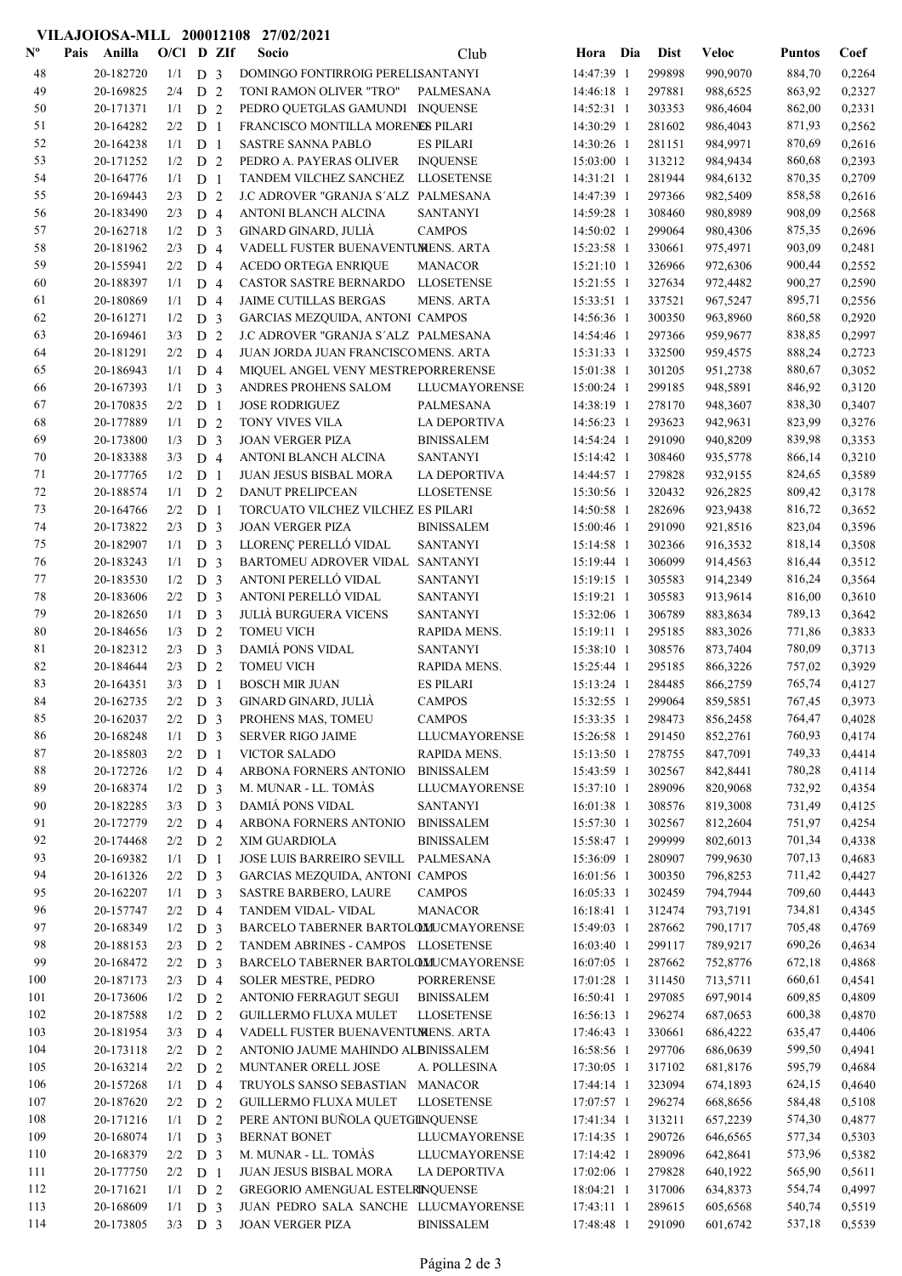|                           |                        |                  |                                  | VILAJOIOSA-MLL 200012108 27/02/2021                                      |                                     |                          |                  |                      |                  |                  |
|---------------------------|------------------------|------------------|----------------------------------|--------------------------------------------------------------------------|-------------------------------------|--------------------------|------------------|----------------------|------------------|------------------|
| $\mathbf{N}^{\mathbf{o}}$ | Anilla<br>Pais         | O/Cl D ZIf       |                                  | Socio                                                                    | Club                                | Hora Dia                 | <b>Dist</b>      | <b>Veloc</b>         | <b>Puntos</b>    | Coef             |
| 48                        | 20-182720              | $1/1$ D 3        |                                  | DOMINGO FONTIRROIG PERELLSANTANYI                                        |                                     | 14:47:39 1               | 299898           | 990,9070             | 884,70           | 0,2264           |
| 49                        | 20-169825              | 2/4              | D <sub>2</sub>                   | TONI RAMON OLIVER "TRO"                                                  | PALMESANA                           | 14:46:18 1               | 297881           | 988,6525             | 863,92           | 0,2327           |
| 50                        | 20-171371              | 1/1              | D <sub>2</sub>                   | PEDRO QUETGLAS GAMUNDI INQUENSE                                          |                                     | 14:52:31 1               | 303353           | 986,4604             | 862,00           | 0,2331           |
| 51                        | 20-164282              | 2/2              | D <sub>1</sub>                   | FRANCISCO MONTILLA MORENES PILARI                                        |                                     | 14:30:29 1               | 281602           | 986,4043             | 871,93           | 0,2562           |
| 52                        | 20-164238              | 1/1              | D <sub>1</sub>                   | SASTRE SANNA PABLO                                                       | <b>ES PILARI</b>                    | 14:30:26 1               | 281151           | 984,9971             | 870,69           | 0,2616           |
| 53                        | 20-171252              | 1/2              | D <sub>2</sub>                   | PEDRO A. PAYERAS OLIVER                                                  | <b>INQUENSE</b>                     | 15:03:00 1               | 313212           | 984,9434             | 860,68           | 0,2393           |
| 54                        | 20-164776              | 1/1              | D <sub>1</sub>                   | TANDEM VILCHEZ SANCHEZ LLOSETENSE                                        |                                     | 14:31:21 1               | 281944           | 984,6132             | 870,35           | 0,2709           |
| 55                        | 20-169443              | 2/3              | D <sub>2</sub>                   | J.C ADROVER "GRANJA S'ALZ PALMESANA                                      |                                     | 14:47:39 1               | 297366           | 982,5409             | 858,58           | 0,2616           |
| 56                        | 20-183490              | 2/3              | D <sub>4</sub>                   | ANTONI BLANCH ALCINA                                                     | <b>SANTANYI</b>                     | 14:59:28 1               | 308460           | 980,8989             | 908,09           | 0,2568           |
| 57                        | 20-162718              | 1/2              | D <sub>3</sub>                   | GINARD GINARD, JULIÀ                                                     | <b>CAMPOS</b>                       | 14:50:02 1               | 299064           | 980,4306             | 875,35           | 0,2696           |
| 58<br>59                  | 20-181962              | 2/3              | D <sub>4</sub>                   | VADELL FUSTER BUENAVENTUMENS. ARTA                                       |                                     | 15:23:58 1               | 330661           | 975,4971             | 903,09           | 0,2481           |
| 60                        | 20-155941<br>20-188397 | 2/2<br>1/1       | D <sub>4</sub><br>D <sub>4</sub> | <b>ACEDO ORTEGA ENRIQUE</b><br>CASTOR SASTRE BERNARDO                    | <b>MANACOR</b><br><b>LLOSETENSE</b> | 15:21:10 1<br>15:21:55 1 | 326966<br>327634 | 972,6306<br>972,4482 | 900,44<br>900,27 | 0,2552<br>0,2590 |
| 61                        | 20-180869              | 1/1              | D <sub>4</sub>                   | <b>JAIME CUTILLAS BERGAS</b>                                             | <b>MENS. ARTA</b>                   | 15:33:51 1               | 337521           | 967,5247             | 895,71           | 0,2556           |
| 62                        | 20-161271              | 1/2              | D <sub>3</sub>                   | GARCIAS MEZQUIDA, ANTONI CAMPOS                                          |                                     | 14:56:36 1               | 300350           | 963,8960             | 860,58           | 0,2920           |
| 63                        | 20-169461              | 3/3              | D <sub>2</sub>                   | J.C ADROVER "GRANJA S'ALZ PALMESANA                                      |                                     | 14:54:46 1               | 297366           | 959,9677             | 838,85           | 0,2997           |
| 64                        | 20-181291              | 2/2              | D <sub>4</sub>                   | JUAN JORDA JUAN FRANCISCOMENS. ARTA                                      |                                     | 15:31:33 1               | 332500           | 959,4575             | 888,24           | 0,2723           |
| 65                        | 20-186943              | 1/1              | D <sub>4</sub>                   | MIQUEL ANGEL VENY MESTREPORRERENSE                                       |                                     | 15:01:38 1               | 301205           | 951,2738             | 880,67           | 0,3052           |
| 66                        | 20-167393              | 1/1              | D <sub>3</sub>                   | ANDRES PROHENS SALOM                                                     | LLUCMAYORENSE                       | 15:00:24 1               | 299185           | 948,5891             | 846,92           | 0,3120           |
| 67                        | 20-170835              | 2/2              | D <sub>1</sub>                   | <b>JOSE RODRIGUEZ</b>                                                    | PALMESANA                           | 14:38:19 1               | 278170           | 948,3607             | 838,30           | 0,3407           |
| 68                        | 20-177889              | 1/1              | D <sub>2</sub>                   | TONY VIVES VILA                                                          | <b>LA DEPORTIVA</b>                 | 14:56:23 1               | 293623           | 942,9631             | 823,99           | 0,3276           |
| 69                        | 20-173800              | 1/3              | D <sub>3</sub>                   | <b>JOAN VERGER PIZA</b>                                                  | <b>BINISSALEM</b>                   | 14:54:24 1               | 291090           | 940,8209             | 839,98           | 0,3353           |
| 70                        | 20-183388              | 3/3              | D 4                              | ANTONI BLANCH ALCINA                                                     | <b>SANTANYI</b>                     | 15:14:42 1               | 308460           | 935,5778             | 866,14           | 0,3210           |
| 71                        | 20-177765              | 1/2              | D <sub>1</sub>                   | JUAN JESUS BISBAL MORA                                                   | <b>LA DEPORTIVA</b>                 | 14:44:57 1               | 279828           | 932,9155             | 824,65           | 0,3589           |
| 72                        | 20-188574              | 1/1              | D <sub>2</sub>                   | DANUT PRELIPCEAN                                                         | <b>LLOSETENSE</b>                   | 15:30:56 1               | 320432           | 926,2825             | 809,42           | 0,3178           |
| 73                        | 20-164766              | 2/2              | D <sub>1</sub>                   | TORCUATO VILCHEZ VILCHEZ ES PILARI                                       |                                     | 14:50:58 1               | 282696           | 923,9438             | 816,72           | 0,3652           |
| 74                        | 20-173822              | 2/3              | D <sub>3</sub>                   | <b>JOAN VERGER PIZA</b>                                                  | <b>BINISSALEM</b>                   | 15:00:46 1               | 291090           | 921,8516             | 823,04           | 0,3596           |
| 75                        | 20-182907              | 1/1              | D <sub>3</sub>                   | LLORENÇ PERELLÓ VIDAL                                                    | <b>SANTANYI</b>                     | 15:14:58 1               | 302366           | 916,3532             | 818,14           | 0,3508           |
| 76                        | 20-183243              | 1/1              | D <sub>3</sub>                   | BARTOMEU ADROVER VIDAL SANTANYI                                          |                                     | 15:19:44 1               | 306099           | 914,4563             | 816,44           | 0,3512           |
| 77                        | 20-183530              | 1/2              | D <sub>3</sub>                   | ANTONI PERELLÓ VIDAL                                                     | <b>SANTANYI</b>                     | 15:19:15 1               | 305583           | 914,2349             | 816,24           | 0,3564           |
| 78                        | 20-183606              | $2/2$ D 3        |                                  | ANTONI PERELLÓ VIDAL                                                     | <b>SANTANYI</b>                     | 15:19:21 1               | 305583           | 913,9614             | 816,00           | 0,3610           |
| 79                        | 20-182650              | 1/1              | D <sub>3</sub>                   | <b>JULIÀ BURGUERA VICENS</b>                                             | <b>SANTANYI</b>                     | 15:32:06 1               | 306789           | 883,8634             | 789,13           | 0,3642           |
| 80                        | 20-184656              | 1/3              | D <sub>2</sub>                   | <b>TOMEU VICH</b>                                                        | RAPIDA MENS.                        | 15:19:11 1               | 295185           | 883,3026             | 771,86           | 0,3833           |
| 81                        | 20-182312              | 2/3              | D <sub>3</sub>                   | DAMIÁ PONS VIDAL                                                         | <b>SANTANYI</b>                     | 15:38:10 1               | 308576           | 873,7404             | 780,09           | 0,3713           |
| 82<br>83                  | 20-184644<br>20-164351 | 2/3<br>3/3       | D <sub>2</sub>                   | <b>TOMEU VICH</b><br><b>BOSCH MIR JUAN</b>                               | RAPIDA MENS.<br><b>ES PILARI</b>    | 15:25:44 1<br>15:13:24 1 | 295185<br>284485 | 866,3226<br>866,2759 | 757,02<br>765,74 | 0,3929<br>0,4127 |
| 84                        | 20-162735              | $2/2$ D 3        | D <sub>1</sub>                   | GINARD GINARD, JULIÀ                                                     | <b>CAMPOS</b>                       | 15:32:55 1               | 299064           | 859,5851             | 767,45           | 0,3973           |
| 85                        | 20-162037              | $2/2$ D 3        |                                  | PROHENS MAS, TOMEU                                                       | <b>CAMPOS</b>                       | 15:33:35 1               | 298473           | 856,2458             | 764,47           | 0,4028           |
| 86                        | 20-168248              | 1/1              | D <sub>3</sub>                   | <b>SERVER RIGO JAIME</b>                                                 | <b>LLUCMAYORENSE</b>                | 15:26:58 1               | 291450           | 852,2761             | 760,93           | 0,4174           |
| 87                        | 20-185803              | $2/2$ D 1        |                                  | <b>VICTOR SALADO</b>                                                     | RAPIDA MENS.                        | 15:13:50 1               | 278755           | 847,7091             | 749,33           | 0,4414           |
| 88                        | 20-172726              | $1/2$ D 4        |                                  | ARBONA FORNERS ANTONIO                                                   | <b>BINISSALEM</b>                   | 15:43:59 1               | 302567           | 842,8441             | 780,28           | 0,4114           |
| 89                        | 20-168374              | $1/2$ D 3        |                                  | M. MUNAR - LL. TOMÀS                                                     | <b>LLUCMAYORENSE</b>                | 15:37:10 1               | 289096           | 820,9068             | 732,92           | 0,4354           |
| 90                        | 20-182285              | $3/3$ D 3        |                                  | DAMIÁ PONS VIDAL                                                         | <b>SANTANYI</b>                     | 16:01:38 1               | 308576           | 819,3008             | 731,49           | 0,4125           |
| 91                        | 20-172779              | $2/2$ D 4        |                                  | ARBONA FORNERS ANTONIO                                                   | <b>BINISSALEM</b>                   | 15:57:30 1               | 302567           | 812,2604             | 751,97           | 0,4254           |
| 92                        | 20-174468              | 2/2              | D <sub>2</sub>                   | XIM GUARDIOLA                                                            | <b>BINISSALEM</b>                   | 15:58:47 1               | 299999           | 802,6013             | 701,34           | 0,4338           |
| 93                        | 20-169382              | 1/1              | D <sub>1</sub>                   | JOSE LUIS BARREIRO SEVILL                                                | PALMESANA                           | 15:36:09 1               | 280907           | 799,9630             | 707,13           | 0,4683           |
| 94                        | 20-161326              | $2/2$ D 3        |                                  | GARCIAS MEZQUIDA, ANTONI CAMPOS                                          |                                     | 16:01:56 1               | 300350           | 796,8253             | 711,42           | 0,4427           |
| 95                        | 20-162207              | $1/1$ D 3        |                                  | SASTRE BARBERO, LAURE                                                    | <b>CAMPOS</b>                       | 16:05:33 1               | 302459           | 794,7944             | 709,60           | 0,4443           |
| 96                        | 20-157747              | $2/2$ D 4        |                                  | TANDEM VIDAL- VIDAL                                                      | <b>MANACOR</b>                      | 16:18:41 1               | 312474           | 793,7191             | 734,81           | 0,4345           |
| 97                        | 20-168349              | 1/2              | D <sub>3</sub>                   | BARCELO TABERNER BARTOLOMUCMAYORENSE                                     |                                     | 15:49:03 1               | 287662           | 790,1717             | 705,48           | 0,4769           |
| 98                        | 20-188153              | 2/3              | D 2                              | TANDEM ABRINES - CAMPOS LLOSETENSE                                       |                                     | 16:03:40 1               | 299117           | 789,9217             | 690,26           | 0,4634           |
| 99                        | 20-168472              | 2/2              | D <sub>3</sub>                   | BARCELO TABERNER BARTOLOMUCMAYORENSE                                     |                                     | 16:07:05 1               | 287662           | 752,8776             | 672,18           | 0,4868           |
| 100                       | 20-187173              | 2/3              | D 4                              | <b>SOLER MESTRE, PEDRO</b>                                               | PORRERENSE                          | 17:01:28 1               | 311450           | 713,5711             | 660,61           | 0,4541           |
| 101                       | 20-173606              | $1/2$ D 2        |                                  | ANTONIO FERRAGUT SEGUI                                                   | <b>BINISSALEM</b>                   | 16:50:41 1               | 297085           | 697,9014             | 609,85           | 0,4809           |
| 102                       | 20-187588              | $1/2$ D 2        |                                  | <b>GUILLERMO FLUXA MULET</b>                                             | <b>LLOSETENSE</b>                   | 16:56:13 1               | 296274           | 687,0653             | 600,38           | 0,4870           |
| 103<br>104                | 20-181954<br>20-173118 | $3/3$ D 4<br>2/2 | D 2                              | VADELL FUSTER BUENAVENTUMENS. ARTA<br>ANTONIO JAUME MAHINDO ALBINISSALEM |                                     | 17:46:43 1<br>16:58:56 1 | 330661<br>297706 | 686,4222<br>686,0639 | 635,47<br>599,50 | 0,4406<br>0,4941 |
| 105                       | 20-163214              | $2/2$ D 2        |                                  | MUNTANER ORELL JOSE                                                      | A. POLLESINA                        | 17:30:05 1               | 317102           | 681,8176             | 595,79           | 0,4684           |
| 106                       | 20-157268              | $1/1$ D 4        |                                  | TRUYOLS SANSO SEBASTIAN MANACOR                                          |                                     | 17:44:14 1               | 323094           | 674,1893             | 624,15           | 0,4640           |
| 107                       | 20-187620              | $2/2$ D 2        |                                  | <b>GUILLERMO FLUXA MULET</b>                                             | <b>LLOSETENSE</b>                   | 17:07:57 1               | 296274           | 668,8656             | 584,48           | 0,5108           |
| 108                       | 20-171216              | $1/1$ D 2        |                                  | PERE ANTONI BUÑOLA QUETGINQUENSE                                         |                                     | 17:41:34 1               | 313211           | 657,2239             | 574,30           | 0,4877           |
| 109                       | 20-168074              | 1/1              | D <sub>3</sub>                   | <b>BERNAT BONET</b>                                                      | LLUCMAYORENSE                       | 17:14:35 1               | 290726           | 646,6565             | 577,34           | 0,5303           |
| 110                       | 20-168379              | 2/2              | D <sub>3</sub>                   | M. MUNAR - LL. TOMAS                                                     | LLUCMAYORENSE                       | 17:14:42 1               | 289096           | 642,8641             | 573,96           | 0,5382           |
| 111                       | 20-177750              | 2/2              | D <sub>1</sub>                   | JUAN JESUS BISBAL MORA                                                   | <b>LA DEPORTIVA</b>                 | 17:02:06 1               | 279828           | 640,1922             | 565,90           | 0,5611           |
| 112                       | 20-171621              | 1/1              | D 2                              | GREGORIO AMENGUAL ESTELRINQUENSE                                         |                                     | 18:04:21 1               | 317006           | 634,8373             | 554,74           | 0,4997           |
| 113                       | 20-168609              | 1/1              | D <sub>3</sub>                   | JUAN PEDRO SALA SANCHE LLUCMAYORENSE                                     |                                     | 17:43:11 1               | 289615           | 605,6568             | 540,74           | 0,5519           |
| 114                       | 20-173805              | $3/3$ D 3        |                                  | JOAN VERGER PIZA                                                         | <b>BINISSALEM</b>                   | 17:48:48 1               | 291090           | 601,6742             | 537,18           | 0,5539           |